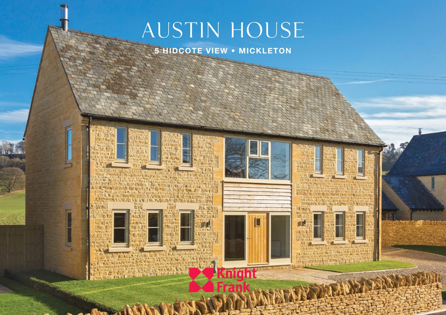# AUSTIN HOUSE

# **5 HIDCOTE VIEW • MICKLETON**



**START BOOKS TORY CALL ENGINEE WASHING** 警







WANTED AVENUE OF THE SAFE



68.4845



**TIME AND FOOT**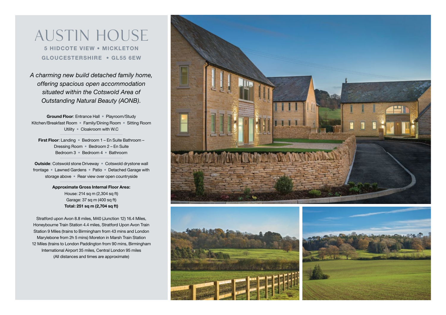Austin House **5 HIDCOTE VIEW • MICKLETON GLOUCESTERSHIRE • GL55 6EW**

*A charming new build detached family home, offering spacious open accommodation situated within the Cotswold Area of Outstanding Natural Beauty (AONB).*

**Ground Floor**: Entrance Hall • Playroom/Study Kitchen/Breakfast Room • Family/Dining Room • Sitting Room Utility • Cloakroom with W.C

**First Floor**: Landing • Bedroom 1 – En Suite Bathroom – Dressing Room • Bedroom 2 – En Suite Bedroom 3 • Bedroom 4 • Bathroom

**Outside**: Cotswold stone Driveway • Cotswold drystone wall frontage • Lawned Gardens • Patio • Detached Garage with storage above • Rear view over open countryside

> **Approximate Gross Internal Floor Area:** House: 214 sq m (2,304 sq ft) Garage: 37 sq m (400 sq ft) **Total: 251 sq m (2,704 sq ft)**

Stratford upon Avon 8.8 miles, M40 (Junction 12) 16.4 Miles, Honeybourne Train Station 4.4 miles, Stratford Upon Avon Train Station 9 Miles (trains to Birmingham from 43 mins and London Marylebone from 2h 5 mins) Moreton in Marsh Train Station 12 Miles (trains to London Paddington from 90 mins, Birmingham International Airport 35 miles, Central London 95 miles (All distances and times are approximate)

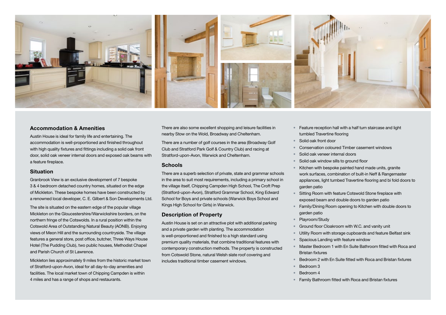

#### **Accommodation & Amenities**

Austin House is ideal for family life and entertaining. The accommodation is well-proportioned and finished throughout with high quality fixtures and fittings including a solid oak front door, solid oak veneer internal doors and exposed oak beams with a feature fireplace.

#### **Situation**

Granbrook View is an exclusive development of 7 bespoke 3 & 4 bedroom detached country homes, situated on the edge of Mickleton. These bespoke homes have been constructed by a renowned local developer, C. E. Gilbert & Son Developments Ltd.

The site is situated on the eastern edge of the popular village Mickleton on the Gloucestershire/Warwickshire borders, on the northern fringe of the Cotswolds. In a rural position within the Cotswold Area of Outstanding Natural Beauty (AONB). Enjoying views of Meon Hill and the surrounding countryside. The village features a general store, post office, butcher, Three Ways House Hotel (The Pudding Club), two public houses, Methodist Chapel and Parish Church of St Lawrence.

Mickleton lies approximately 9 miles from the historic market town of Stratford-upon-Avon, ideal for all day-to-day amenities and facilities. The local market town of Chipping Campden is within 4 miles and has a range of shops and restaurants.

There are also some excellent shopping and leisure facilities in nearby Stow on the Wold, Broadway and Cheltenham.

There are a number of golf courses in the area (Broadway Golf Club and Stratford Park Golf & Country Club) and racing at Stratford-upon-Avon, Warwick and Cheltenham.

#### **Schools**

There are a superb selection of private, state and grammar schools in the area to suit most requirements, including a primary school in the village itself, Chipping Campden High School, The Croft Prep (Stratford-upon-Avon), Stratford Grammar School, King Edward School for Boys and private schools (Warwick Boys School and Kings High School for Girls) in Warwick.

# **Description of Property**

Austin House is set on an attractive plot with additional parking and a private garden with planting. The accommodation is well-proportioned and finished to a high standard using premium quality materials, that combine traditional features with contemporary construction methods. The property is constructed from Cotswold Stone, natural Welsh slate roof covering and includes traditional timber casement windows.

- Feature reception hall with a half turn staircase and light tumbled Travertine flooring
- Solid oak front door
- Conservation coloured Timber casement windows
- Solid oak veneer internal doors
- Solid oak window sills to ground floor
- Kitchen with bespoke painted hand made units, granite work surfaces, combination of built-in Neff & Rangemaster appliances, light tumbed Travertine flooring and bi fold doors to garden patio
- Sitting Room with feature Cotswold Stone fireplace with exposed beam and double doors to garden patio
- Family/Dining Room opening to Kitchen with double doors to garden patio
- Playroom/Study
- Ground floor Cloakroom with W.C. and vanity unit
- Utility Room with storage cupboards and feature Belfast sink
- Spacious Landing with feature window
- Master Bedroom 1 with En Suite Bathroom fitted with Roca and Bristan fixtures
- Bedroom 2 with En Suite fitted with Roca and Bristan fixtures
- Bedroom 3
- Bedroom 4
- Family Bathroom fitted with Roca and Bristan fixtures